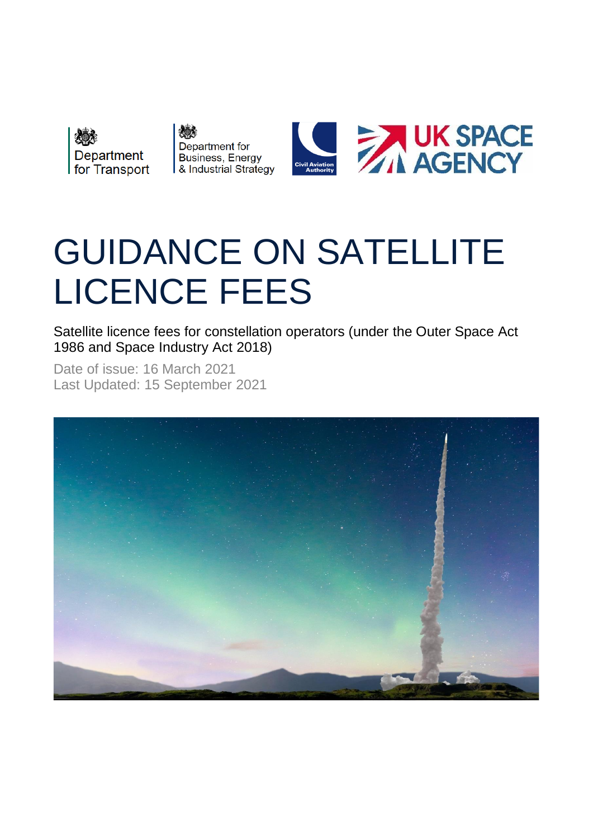

# GUIDANCE ON SATELLITE LICENCE FEES

Satellite licence fees for constellation operators (under the Outer Space Act 1986 and Space Industry Act 2018)

Date of issue: 16 March 2021 Last Updated: 15 September 2021

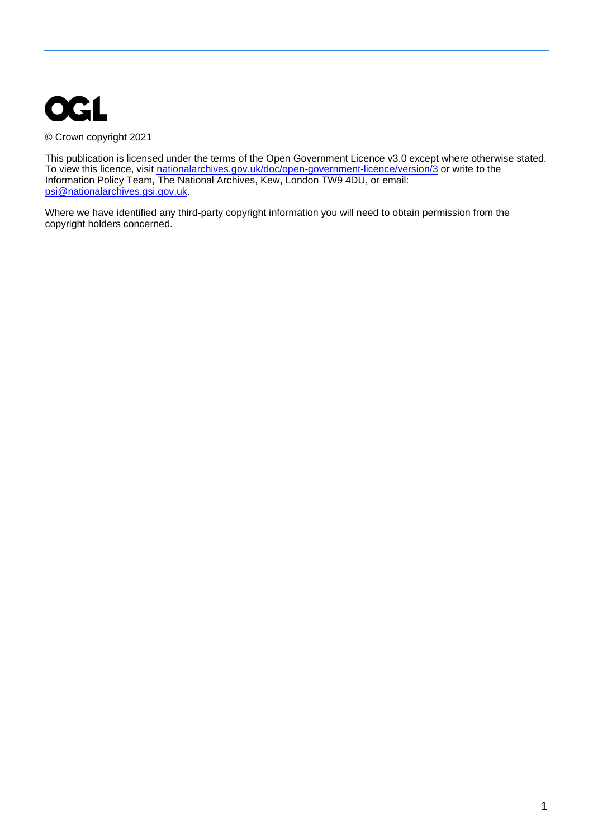

© Crown copyright 2021

This publication is licensed under the terms of the Open Government Licence v3.0 except where otherwise stated. To view this licence, visit [nationalarchives.gov.uk/doc/open-government-licence/version/3](http://nationalarchives.gov.uk/doc/open-government-licence/version/3/) or write to the Information Policy Team, The National Archives, Kew, London TW9 4DU, or email: [psi@nationalarchives.gsi.gov.uk.](mailto:psi@nationalarchives.gsi.gov.uk) 

Where we have identified any third-party copyright information you will need to obtain permission from the copyright holders concerned.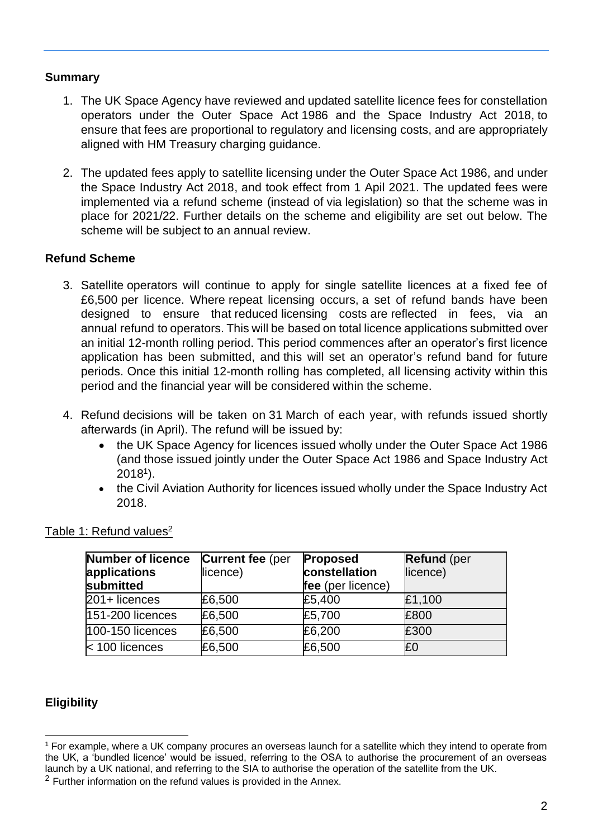## **Summary**

- 1. The UK Space Agency have reviewed and updated satellite licence fees for constellation operators under the Outer Space Act 1986 and the Space Industry Act 2018, to ensure that fees are proportional to regulatory and licensing costs, and are appropriately aligned with HM Treasury charging guidance.
- 2. The updated fees apply to satellite licensing under the Outer Space Act 1986, and under the Space Industry Act 2018, and took effect from 1 Apil 2021. The updated fees were implemented via a refund scheme (instead of via legislation) so that the scheme was in place for 2021/22. Further details on the scheme and eligibility are set out below. The scheme will be subject to an annual review.

## **Refund Scheme**

- 3. Satellite operators will continue to apply for single satellite licences at a fixed fee of £6,500 per licence. Where repeat licensing occurs, a set of refund bands have been designed to ensure that reduced licensing costs are reflected in fees, via an annual refund to operators. This will be based on total licence applications submitted over an initial 12-month rolling period. This period commences after an operator's first licence application has been submitted, and this will set an operator's refund band for future periods. Once this initial 12-month rolling has completed, all licensing activity within this period and the financial year will be considered within the scheme.
- 4. Refund decisions will be taken on 31 March of each year, with refunds issued shortly afterwards (in April). The refund will be issued by:
	- the UK Space Agency for licences issued wholly under the Outer Space Act 1986 (and those issued jointly under the Outer Space Act 1986 and Space Industry Act 2018<sup>1</sup> ).
	- the Civil Aviation Authority for licences issued wholly under the Space Industry Act 2018.

| Number of licence<br>applications<br>submitted | <b>Current fee (per</b><br>licence) | <b>Proposed</b><br>constellation<br>fee (per licence) | <b>Refund</b> (per<br>licence) |
|------------------------------------------------|-------------------------------------|-------------------------------------------------------|--------------------------------|
| 201+ licences                                  | £6,500                              | £5,400                                                | £1,100                         |
| 151-200 licences                               | £6,500                              | £5,700                                                | £800                           |
| 100-150 licences                               | £6,500                              | £6,200                                                | £300                           |
| < 100 licences                                 | £6,500                              | £6,500                                                | £0                             |

Table 1: Refund values<sup>2</sup>

## **Eligibility**

<sup>1</sup> For example, where a UK company procures an overseas launch for a satellite which they intend to operate from the UK, a 'bundled licence' would be issued, referring to the OSA to authorise the procurement of an overseas launch by a UK national, and referring to the SIA to authorise the operation of the satellite from the UK.

 $2$  Further information on the refund values is provided in the Annex.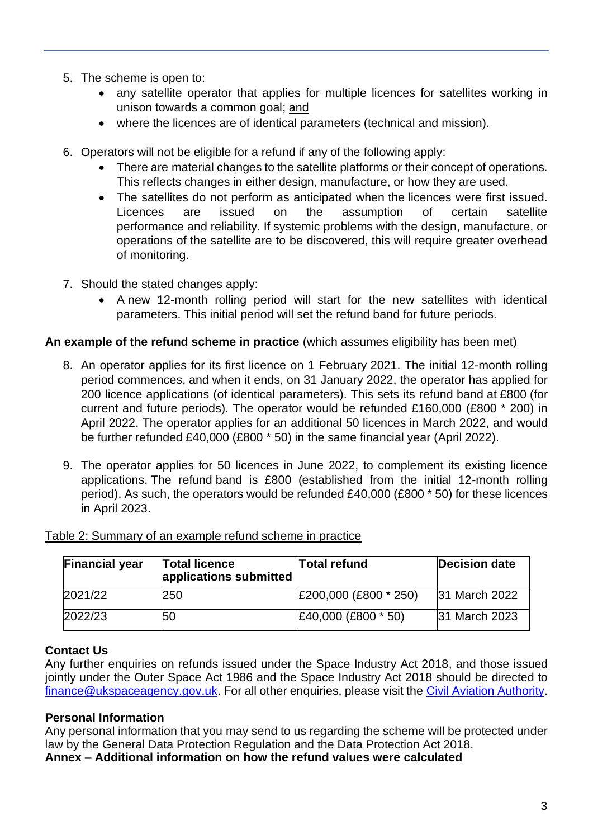- 5. The scheme is open to:
	- any satellite operator that applies for multiple licences for satellites working in unison towards a common goal; and
	- where the licences are of identical parameters (technical and mission).
- 6. Operators will not be eligible for a refund if any of the following apply:
	- There are material changes to the satellite platforms or their concept of operations. This reflects changes in either design, manufacture, or how they are used.
	- The satellites do not perform as anticipated when the licences were first issued. Licences are issued on the assumption of certain satellite performance and reliability. If systemic problems with the design, manufacture, or operations of the satellite are to be discovered, this will require greater overhead of monitoring.
- 7. Should the stated changes apply:
	- A new 12-month rolling period will start for the new satellites with identical parameters. This initial period will set the refund band for future periods.

#### **An example of the refund scheme in practice** (which assumes eligibility has been met)

- 8. An operator applies for its first licence on 1 February 2021. The initial 12-month rolling period commences, and when it ends, on 31 January 2022, the operator has applied for 200 licence applications (of identical parameters). This sets its refund band at £800 (for current and future periods). The operator would be refunded £160,000 (£800 \* 200) in April 2022. The operator applies for an additional 50 licences in March 2022, and would be further refunded £40,000 (£800 \* 50) in the same financial year (April 2022).
- 9. The operator applies for 50 licences in June 2022, to complement its existing licence applications. The refund band is £800 (established from the initial 12-month rolling period). As such, the operators would be refunded £40,000 (£800 \* 50) for these licences in April 2023.

| <b>Financial year</b> | <b>Total licence</b><br>applications submitted | <b>Total refund</b>   | <b>Decision date</b> |
|-----------------------|------------------------------------------------|-----------------------|----------------------|
| 2021/22               | 250                                            | £200,000 (£800 * 250) | 31 March 2022        |
| 2022/23               | 50                                             | £40,000 (£800 * 50)   | 31 March 2023        |

#### Table 2: Summary of an example refund scheme in practice

#### **Contact Us**

Any further enquiries on refunds issued under the Space Industry Act 2018, and those issued jointly under the Outer Space Act 1986 and the Space Industry Act 2018 should be directed to [finance@ukspaceagency.gov.uk.](mailto:finance@ukspaceagency.gov.uk) For all other enquiries, please visit the [Civil Aviation Authority.](https://www.caa.co.uk/Consumers/Space/Orbital-satellite-operators/Licence-fees-for-orbital-operators/)

#### **Personal Information**

Any personal information that you may send to us regarding the scheme will be protected under law by the General Data Protection Regulation and the Data Protection Act 2018.

**Annex – Additional information on how the refund values were calculated**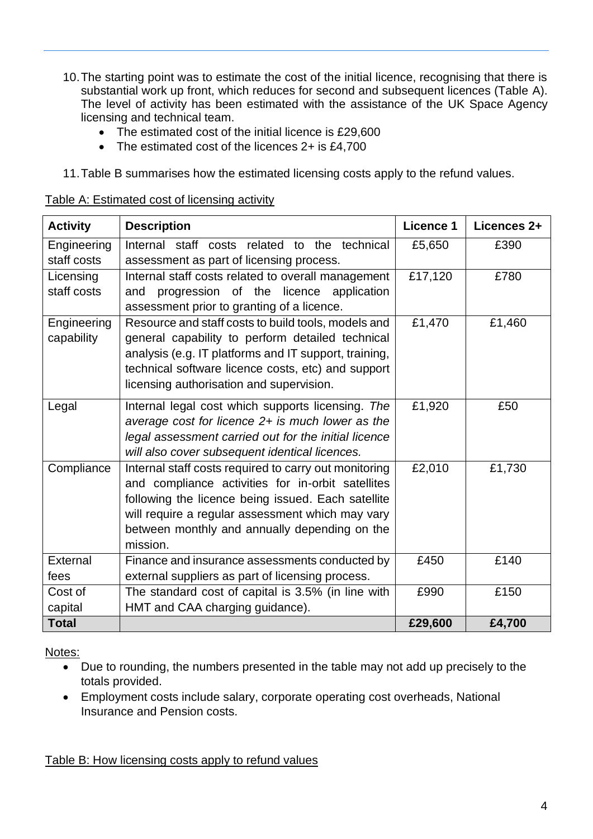- 10.The starting point was to estimate the cost of the initial licence, recognising that there is substantial work up front, which reduces for second and subsequent licences (Table A). The level of activity has been estimated with the assistance of the UK Space Agency licensing and technical team.
	- The estimated cost of the initial licence is £29,600
	- The estimated cost of the licences 2+ is £4,700
- 11.Table B summarises how the estimated licensing costs apply to the refund values.

|--|

| <b>Activity</b> | <b>Description</b>                                    | Licence 1 | Licences 2+ |
|-----------------|-------------------------------------------------------|-----------|-------------|
| Engineering     | Internal staff costs related to the technical         | £5,650    | £390        |
| staff costs     | assessment as part of licensing process.              |           |             |
| Licensing       | Internal staff costs related to overall management    | £17,120   | £780        |
| staff costs     | progression of the licence application<br>and         |           |             |
|                 | assessment prior to granting of a licence.            |           |             |
| Engineering     | Resource and staff costs to build tools, models and   | £1,470    | £1,460      |
| capability      | general capability to perform detailed technical      |           |             |
|                 | analysis (e.g. IT platforms and IT support, training, |           |             |
|                 | technical software licence costs, etc) and support    |           |             |
|                 | licensing authorisation and supervision.              |           |             |
| Legal           | Internal legal cost which supports licensing. The     | £1,920    | £50         |
|                 | average cost for licence $2+$ is much lower as the    |           |             |
|                 | legal assessment carried out for the initial licence  |           |             |
|                 | will also cover subsequent identical licences.        |           |             |
| Compliance      | Internal staff costs required to carry out monitoring | £2,010    | £1,730      |
|                 | and compliance activities for in-orbit satellites     |           |             |
|                 | following the licence being issued. Each satellite    |           |             |
|                 | will require a regular assessment which may vary      |           |             |
|                 | between monthly and annually depending on the         |           |             |
|                 | mission.                                              |           |             |
| External        | Finance and insurance assessments conducted by        | £450      | £140        |
| fees            | external suppliers as part of licensing process.      |           |             |
| Cost of         | The standard cost of capital is 3.5% (in line with    | £990      | £150        |
| capital         | HMT and CAA charging guidance).                       |           |             |
| <b>Total</b>    |                                                       | £29,600   | £4,700      |

Notes:

- Due to rounding, the numbers presented in the table may not add up precisely to the totals provided.
- Employment costs include salary, corporate operating cost overheads, National Insurance and Pension costs.

#### Table B: How licensing costs apply to refund values